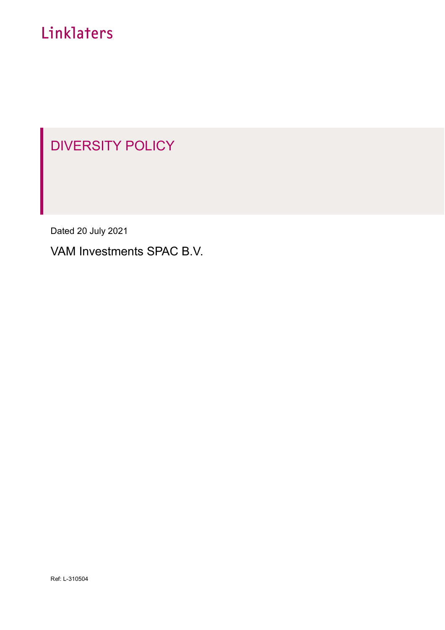# Linklaters

# DIVERSITY POLICY

Dated 20 July 2021

VAM Investments SPAC B.V.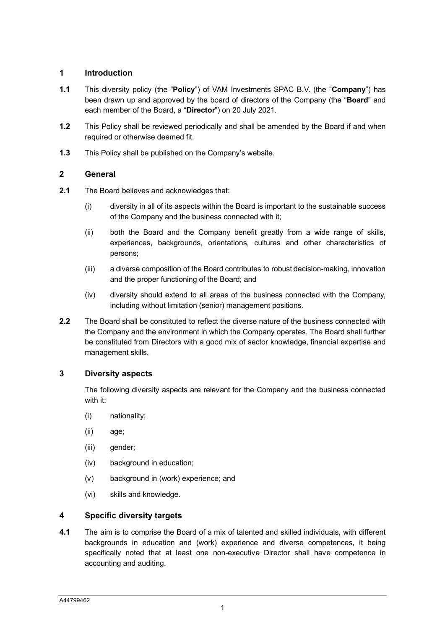### **1 Introduction**

- **1.1** This diversity policy (the "**Policy**") of VAM Investments SPAC B.V. (the "**Company**") has been drawn up and approved by the board of directors of the Company (the "**Board**" and each member of the Board, a "**Director**") on 20 July 2021.
- **1.2** This Policy shall be reviewed periodically and shall be amended by the Board if and when required or otherwise deemed fit.
- **1.3** This Policy shall be published on the Company's website.

### **2 General**

- **2.1** The Board believes and acknowledges that:
	- (i) diversity in all of its aspects within the Board is important to the sustainable success of the Company and the business connected with it;
	- (ii) both the Board and the Company benefit greatly from a wide range of skills, experiences, backgrounds, orientations, cultures and other characteristics of persons;
	- (iii) a diverse composition of the Board contributes to robust decision-making, innovation and the proper functioning of the Board; and
	- (iv) diversity should extend to all areas of the business connected with the Company, including without limitation (senior) management positions.
- **2.2** The Board shall be constituted to reflect the diverse nature of the business connected with the Company and the environment in which the Company operates. The Board shall further be constituted from Directors with a good mix of sector knowledge, financial expertise and management skills.

## <span id="page-1-0"></span>**3 Diversity aspects**

The following diversity aspects are relevant for the Company and the business connected with it:

- (i) nationality;
- (ii) age;
- (iii) gender;
- (iv) background in education;
- (v) background in (work) experience; and
- (vi) skills and knowledge.

## **4 Specific diversity targets**

**4.1** The aim is to comprise the Board of a mix of talented and skilled individuals, with different backgrounds in education and (work) experience and diverse competences, it being specifically noted that at least one non-executive Director shall have competence in accounting and auditing.